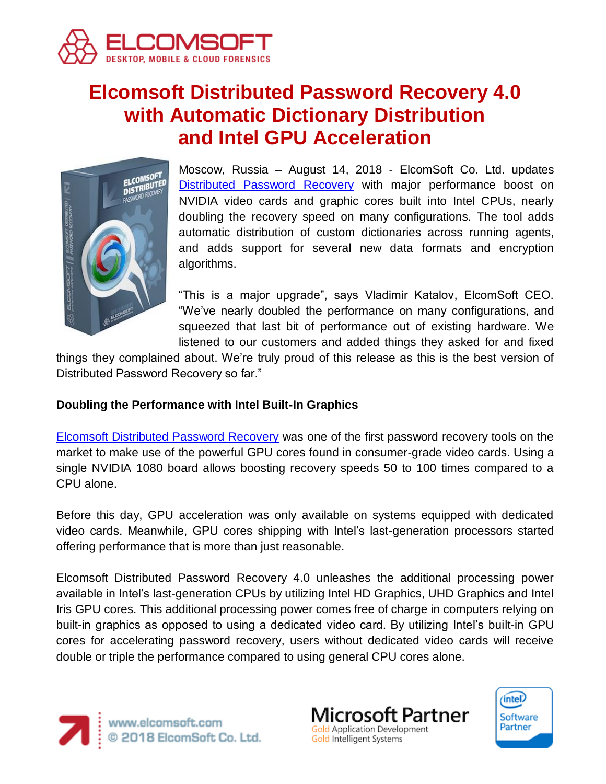

# **Elcomsoft Distributed Password Recovery 4.0 with Automatic Dictionary Distribution and Intel GPU Acceleration**



Moscow, Russia – August 14, 2018 - ElcomSoft Co. Ltd. updates [Distributed Password Recovery](https://www.elcomsoft.com/edpr.html) with major performance boost on NVIDIA video cards and graphic cores built into Intel CPUs, nearly doubling the recovery speed on many configurations. The tool adds automatic distribution of custom dictionaries across running agents, and adds support for several new data formats and encryption algorithms.

"This is a major upgrade", says Vladimir Katalov, ElcomSoft CEO. "We've nearly doubled the performance on many configurations, and squeezed that last bit of performance out of existing hardware. We listened to our customers and added things they asked for and fixed

things they complained about. We're truly proud of this release as this is the best version of Distributed Password Recovery so far."

## **Doubling the Performance with Intel Built-In Graphics**

[Elcomsoft Distributed Password Recovery](https://www.elcomsoft.com/edpr.html) was one of the first password recovery tools on the market to make use of the powerful GPU cores found in consumer-grade video cards. Using a single NVIDIA 1080 board allows boosting recovery speeds 50 to 100 times compared to a CPU alone.

Before this day, GPU acceleration was only available on systems equipped with dedicated video cards. Meanwhile, GPU cores shipping with Intel's last-generation processors started offering performance that is more than just reasonable.

Elcomsoft Distributed Password Recovery 4.0 unleashes the additional processing power available in Intel's last-generation CPUs by utilizing Intel HD Graphics, UHD Graphics and Intel Iris GPU cores. This additional processing power comes free of charge in computers relying on built-in graphics as opposed to using a dedicated video card. By utilizing Intel's built-in GPU cores for accelerating password recovery, users without dedicated video cards will receive double or triple the performance compared to using general CPU cores alone.



www.elcomsoft.com<br>© 2018 ElcomSoft Co. Ltd.



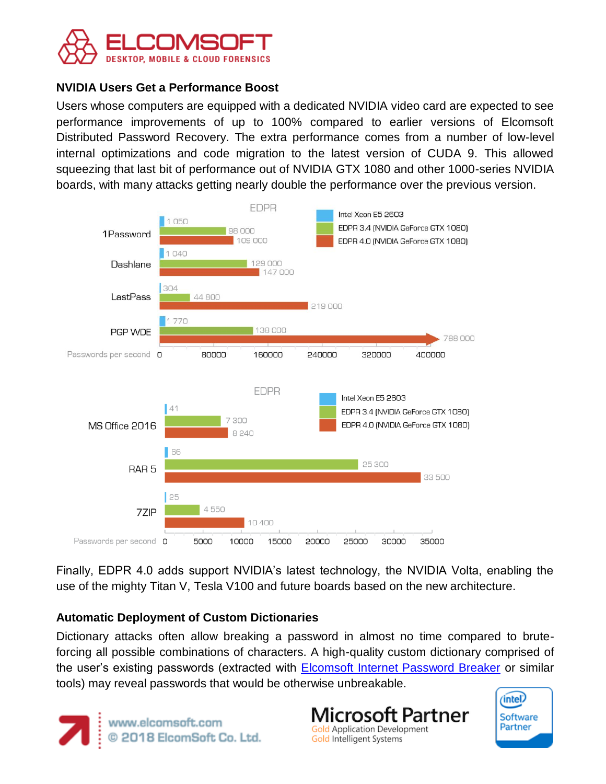

#### **NVIDIA Users Get a Performance Boost**

Users whose computers are equipped with a dedicated NVIDIA video card are expected to see performance improvements of up to 100% compared to earlier versions of Elcomsoft Distributed Password Recovery. The extra performance comes from a number of low-level internal optimizations and code migration to the latest version of CUDA 9. This allowed squeezing that last bit of performance out of NVIDIA GTX 1080 and other 1000-series NVIDIA boards, with many attacks getting nearly double the performance over the previous version.



Finally, EDPR 4.0 adds support NVIDIA's latest technology, the NVIDIA Volta, enabling the use of the mighty Titan V, Tesla V100 and future boards based on the new architecture.

## **Automatic Deployment of Custom Dictionaries**

Dictionary attacks often allow breaking a password in almost no time compared to bruteforcing all possible combinations of characters. A high-quality custom dictionary comprised of the user's existing passwords (extracted with [Elcomsoft Internet Password Breaker](https://www.elcomsoft.com/einpb.html) or similar tools) may reveal passwords that would be otherwise unbreakable.



**Microsoft Partner Gold Application Development** Gold Intelligent Systems